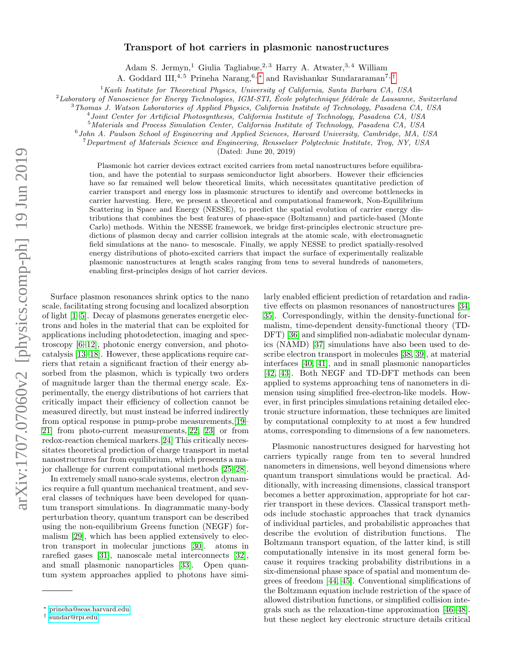## Transport of hot carriers in plasmonic nanostructures

Adam S. Jermyn,<sup>1</sup> Giulia Tagliabue,<sup>2,3</sup> Harry A. Atwater,<sup>3,4</sup> William

A. Goddard III,<sup>4,5</sup> Prineha Narang,<sup>6,\*</sup> and Ravishankar Sundararaman<sup>7,[†](#page-0-1)</sup>

 $1$ Kavli Institute for Theoretical Physics, University of California, Santa Barbara CA, USA

 $2$ Laboratory of Nanoscience for Energy Technologies, IGM-STI, École polytechnique fédérale de Lausanne, Switzerland

<sup>3</sup>Thomas J. Watson Laboratories of Applied Physics, California Institute of Technology, Pasadena CA, USA

4 Joint Center for Artificial Photosynthesis, California Institute of Technology, Pasadena CA, USA

<sup>5</sup>Materials and Process Simulation Center, California Institute of Technology, Pasadena CA, USA

6 John A. Paulson School of Engineering and Applied Sciences, Harvard University, Cambridge, MA, USA

 $^{7}$ Department of Materials Science and Engineering, Rensselaer Polytechnic Institute, Troy, NY, USA

(Dated: June 20, 2019)

Plasmonic hot carrier devices extract excited carriers from metal nanostructures before equilibration, and have the potential to surpass semiconductor light absorbers. However their efficiencies have so far remained well below theoretical limits, which necessitates quantitative prediction of carrier transport and energy loss in plasmonic structures to identify and overcome bottlenecks in carrier harvesting. Here, we present a theoretical and computational framework, Non-Equilibrium Scattering in Space and Energy (NESSE), to predict the spatial evolution of carrier energy distributions that combines the best features of phase-space (Boltzmann) and particle-based (Monte Carlo) methods. Within the NESSE framework, we bridge first-principles electronic structure predictions of plasmon decay and carrier collision integrals at the atomic scale, with electromagnetic field simulations at the nano- to mesoscale. Finally, we apply NESSE to predict spatially-resolved energy distributions of photo-excited carriers that impact the surface of experimentally realizable plasmonic nanostructures at length scales ranging from tens to several hundreds of nanometers, enabling first-principles design of hot carrier devices.

Surface plasmon resonances shrink optics to the nano scale, facilitating strong focusing and localized absorption of light [\[1](#page-8-0)[–5\]](#page-8-1). Decay of plasmons generates energetic electrons and holes in the material that can be exploited for applications including photodetection, imaging and spectroscopy [\[6–](#page-8-2)[12\]](#page-8-3), photonic energy conversion, and photocatalysis [\[13](#page-8-4)[–18\]](#page-9-0). However, these applications require carriers that retain a significant fraction of their energy absorbed from the plasmon, which is typically two orders of magnitude larger than the thermal energy scale. Experimentally, the energy distributions of hot carriers that critically impact their efficiency of collection cannot be measured directly, but must instead be inferred indirectly from optical response in pump-probe measurements,[\[19–](#page-9-1) [21\]](#page-9-2) from photo-current measurements,[\[22,](#page-9-3) [23\]](#page-9-4) or from redox-reaction chemical markers.[\[24\]](#page-9-5) This critically necessitates theoretical prediction of charge transport in metal nanostructures far from equilibrium, which presents a major challenge for current computational methods [\[25–](#page-9-6)[28\]](#page-9-7).

In extremely small nano-scale systems, electron dynamics require a full quantum mechanical treatment, and several classes of techniques have been developed for quantum transport simulations. In diagrammatic many-body perturbation theory, quantum transport can be described using the non-equilibrium Greens function (NEGF) formalism [\[29\]](#page-9-8), which has been applied extensively to electron transport in molecular junctions [\[30\]](#page-9-9). atoms in rarefied gases [\[31\]](#page-9-10), nanoscale metal interconnects [\[32\]](#page-9-11), and small plasmonic nanoparticles [\[33\]](#page-9-12). Open quantum system approaches applied to photons have similarly enabled efficient prediction of retardation and radiative effects on plasmon resonances of nanostructures [\[34,](#page-9-13) [35\]](#page-9-14). Correspondingly, within the density-functional formalism, time-dependent density-functional theory (TD-DFT) [\[36\]](#page-9-15) and simplified non-adiabatic molecular dynamics (NAMD) [\[37\]](#page-9-16) simulations have also been used to describe electron transport in molecules [\[38,](#page-9-17) [39\]](#page-9-18), at material interfaces [\[40,](#page-9-19) [41\]](#page-9-20), and in small plasmonic nanoparticles [\[42,](#page-9-21) [43\]](#page-9-22). Both NEGF and TD-DFT methods can been applied to systems approaching tens of nanometers in dimension using simplified free-electron-like models. However, in first principles simulations retaining detailed electronic structure information, these techniques are limited by computational complexity to at most a few hundred atoms, corresponding to dimensions of a few nanometers.

Plasmonic nanostructures designed for harvesting hot carriers typically range from ten to several hundred nanometers in dimensions, well beyond dimensions where quantum transport simulations would be practical. Additionally, with increasing dimensions, classical transport becomes a better approximation, appropriate for hot carrier transport in these devices. Classical transport methods include stochastic approaches that track dynamics of individual particles, and probabilistic approaches that describe the evolution of distribution functions. The Boltzmann transport equation, of the latter kind, is still computationally intensive in its most general form because it requires tracking probability distributions in a six-dimensional phase space of spatial and momentum degrees of freedom [\[44,](#page-9-23) [45\]](#page-9-24). Conventional simplifications of the Boltzmann equation include restriction of the space of allowed distribution functions, or simplified collision integrals such as the relaxation-time approximation [\[46–](#page-9-25)[48\]](#page-9-26). but these neglect key electronic structure details critical

<span id="page-0-0"></span><sup>∗</sup> [prineha@seas.harvard.edu](mailto:prineha@seas.harvard.edu)

<span id="page-0-1"></span><sup>†</sup> [sundar@rpi.edu](mailto:sundar@rpi.edu)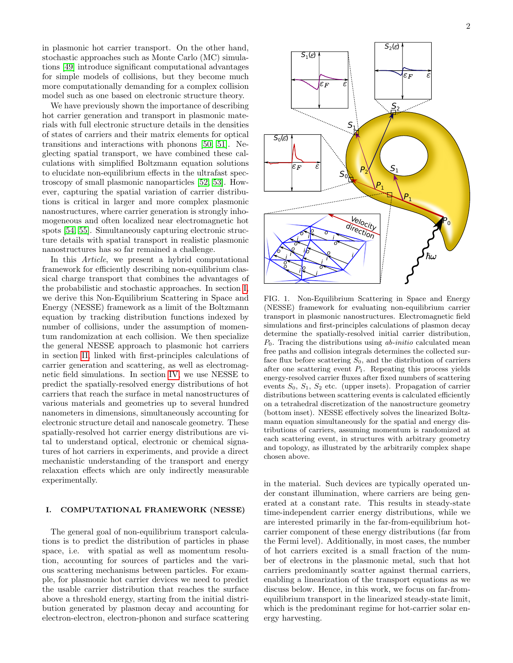in plasmonic hot carrier transport. On the other hand, stochastic approaches such as Monte Carlo (MC) simulations [\[49\]](#page-9-27) introduce significant computational advantages for simple models of collisions, but they become much more computationally demanding for a complex collision model such as one based on electronic structure theory.

We have previously shown the importance of describing hot carrier generation and transport in plasmonic materials with full electronic structure details in the densities of states of carriers and their matrix elements for optical transitions and interactions with phonons [\[50,](#page-9-28) [51\]](#page-9-29). Neglecting spatial transport, we have combined these calculations with simplified Boltzmann equation solutions to elucidate non-equilibrium effects in the ultrafast spectroscopy of small plasmonic nanoparticles [\[52,](#page-9-30) [53\]](#page-9-31). However, capturing the spatial variation of carrier distributions is critical in larger and more complex plasmonic nanostructures, where carrier generation is strongly inhomogeneous and often localized near electromagnetic hot spots [\[54,](#page-9-32) [55\]](#page-9-33). Simultaneously capturing electronic structure details with spatial transport in realistic plasmonic nanostructures has so far remained a challenge.

In this Article, we present a hybrid computational framework for efficiently describing non-equilibrium classical charge transport that combines the advantages of the probabilistic and stochastic approaches. In section [I,](#page-1-0) we derive this Non-Equilibrium Scattering in Space and Energy (NESSE) framework as a limit of the Boltzmann equation by tracking distribution functions indexed by number of collisions, under the assumption of momentum randomization at each collision. We then specialize the general NESSE approach to plasmonic hot carriers in section [II,](#page-3-0) linked with first-principles calculations of carrier generation and scattering, as well as electromagnetic field simulations. In section [IV,](#page-5-0) we use NESSE to predict the spatially-resolved energy distributions of hot carriers that reach the surface in metal nanostructures of various materials and geometries up to several hundred nanometers in dimensions, simultaneously accounting for electronic structure detail and nanoscale geometry. These spatially-resolved hot carrier energy distributions are vital to understand optical, electronic or chemical signatures of hot carriers in experiments, and provide a direct mechanistic understanding of the transport and energy relaxation effects which are only indirectly measurable experimentally.

### <span id="page-1-0"></span>I. COMPUTATIONAL FRAMEWORK (NESSE)

The general goal of non-equilibrium transport calculations is to predict the distribution of particles in phase space, i.e. with spatial as well as momentum resolution, accounting for sources of particles and the various scattering mechanisms between particles. For example, for plasmonic hot carrier devices we need to predict the usable carrier distribution that reaches the surface above a threshold energy, starting from the initial distribution generated by plasmon decay and accounting for electron-electron, electron-phonon and surface scattering



<span id="page-1-1"></span>FIG. 1. Non-Equilibrium Scattering in Space and Energy (NESSE) framework for evaluating non-equilibrium carrier transport in plasmonic nanostructures. Electromagnetic field simulations and first-principles calculations of plasmon decay determine the spatially-resolved initial carrier distribution,  $P_0$ . Tracing the distributions using *ab-initio* calculated mean free paths and collision integrals determines the collected surface flux before scattering  $S_0$ , and the distribution of carriers after one scattering event  $P_1$ . Repeating this process yields energy-resolved carrier fluxes after fixed numbers of scattering events  $S_0$ ,  $S_1$ ,  $S_2$  etc. (upper insets). Propagation of carrier distributions between scattering events is calculated efficiently on a tetrahedral discretization of the nanostructure geometry (bottom inset). NESSE effectively solves the linearized Boltzmann equation simultaneously for the spatial and energy distributions of carriers, assuming momentum is randomized at each scattering event, in structures with arbitrary geometry and topology, as illustrated by the arbitrarily complex shape chosen above.

in the material. Such devices are typically operated under constant illumination, where carriers are being generated at a constant rate. This results in steady-state time-independent carrier energy distributions, while we are interested primarily in the far-from-equilibrium hotcarrier component of these energy distributions (far from the Fermi level). Additionally, in most cases, the number of hot carriers excited is a small fraction of the number of electrons in the plasmonic metal, such that hot carriers predominantly scatter against thermal carriers, enabling a linearization of the transport equations as we discuss below. Hence, in this work, we focus on far-fromequilibrium transport in the linearized steady-state limit, which is the predominant regime for hot-carrier solar energy harvesting.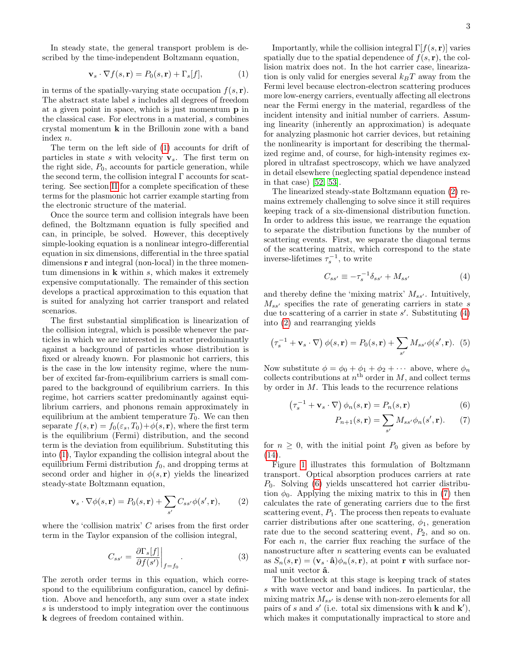In steady state, the general transport problem is described by the time-independent Boltzmann equation,

<span id="page-2-0"></span>
$$
\mathbf{v}_s \cdot \nabla f(s, \mathbf{r}) = P_0(s, \mathbf{r}) + \Gamma_s[f],\tag{1}
$$

in terms of the spatially-varying state occupation  $f(s, r)$ . The abstract state label s includes all degrees of freedom at a given point in space, which is just momentum p in the classical case. For electrons in a material, s combines crystal momentum k in the Brillouin zone with a band index n.

The term on the left side of [\(1\)](#page-2-0) accounts for drift of particles in state s with velocity  $v_s$ . The first term on the right side,  $P_0$ , accounts for particle generation, while the second term, the collision integral  $\Gamma$  accounts for scattering. See section [II](#page-3-0) for a complete specification of these terms for the plasmonic hot carrier example starting from the electronic structure of the material.

Once the source term and collision integrals have been defined, the Boltzmann equation is fully specified and can, in principle, be solved. However, this deceptively simple-looking equation is a nonlinear integro-differential equation in six dimensions, differential in the three spatial dimensions r and integral (non-local) in the three momentum dimensions in  $k$  within  $s$ , which makes it extremely expensive computationally. The remainder of this section develops a practical approximation to this equation that is suited for analyzing hot carrier transport and related scenarios.

The first substantial simplification is linearization of the collision integral, which is possible whenever the particles in which we are interested in scatter predominantly against a background of particles whose distribution is fixed or already known. For plasmonic hot carriers, this is the case in the low intensity regime, where the number of excited far-from-equilibrium carriers is small compared to the background of equilibrium carriers. In this regime, hot carriers scatter predominantly against equilibrium carriers, and phonons remain approximately in equilibrium at the ambient temperature  $T_0$ . We can then separate  $f(s, r) = f_0(\varepsilon_s, T_0) + \phi(s, r)$ , where the first term is the equilibrium (Fermi) distribution, and the second term is the deviation from equilibrium. Substituting this into [\(1\)](#page-2-0), Taylor expanding the collision integral about the equilibrium Fermi distribution  $f_0$ , and dropping terms at second order and higher in  $\phi(s, \mathbf{r})$  yields the linearized steady-state Boltzmann equation,

<span id="page-2-1"></span>
$$
\mathbf{v}_s \cdot \nabla \phi(s, \mathbf{r}) = P_0(s, \mathbf{r}) + \sum_{s'} C_{ss'} \phi(s', \mathbf{r}), \qquad (2)
$$

where the 'collision matrix'  $C$  arises from the first order term in the Taylor expansion of the collision integral,

<span id="page-2-5"></span>
$$
C_{ss'} = \frac{\partial \Gamma_s[f]}{\partial f(s')} \bigg|_{f=f_0}.
$$
\n(3)

The zeroth order terms in this equation, which correspond to the equilibrium configuration, cancel by definition. Above and henceforth, any sum over a state index s is understood to imply integration over the continuous k degrees of freedom contained within.

Importantly, while the collision integral  $\Gamma[f(s, r)]$  varies spatially due to the spatial dependence of  $f(s, r)$ , the collision matrix does not. In the hot carrier case, linearization is only valid for energies several  $k_BT$  away from the Fermi level because electron-electron scattering produces more low-energy carriers, eventually affecting all electrons near the Fermi energy in the material, regardless of the incident intensity and initial number of carriers. Assuming linearity (inherently an approximation) is adequate for analyzing plasmonic hot carrier devices, but retaining the nonlinearity is important for describing the thermalized regime and, of course, for high-intensity regimes explored in ultrafast spectroscopy, which we have analyzed in detail elsewhere (neglecting spatial dependence instead in that case) [\[52,](#page-9-30) [53\]](#page-9-31).

The linearized steady-state Boltzmann equation [\(2\)](#page-2-1) remains extremely challenging to solve since it still requires keeping track of a six-dimensional distribution function. In order to address this issue, we rearrange the equation to separate the distribution functions by the number of scattering events. First, we separate the diagonal terms of the scattering matrix, which correspond to the state inverse-lifetimes  $\tau_s^{-1}$ , to write

<span id="page-2-2"></span>
$$
C_{ss'} \equiv -\tau_s^{-1} \delta_{ss'} + M_{ss'} \tag{4}
$$

and thereby define the 'mixing matrix'  $M_{ss'}$ . Intuitively,  $M_{ss}$  specifies the rate of generating carriers in state s due to scattering of a carrier in state  $s'$ . Substituting  $(4)$ into [\(2\)](#page-2-1) and rearranging yields

$$
\left(\tau_s^{-1} + \mathbf{v}_s \cdot \nabla\right) \phi(s, \mathbf{r}) = P_0(s, \mathbf{r}) + \sum_{s'} M_{ss'} \phi(s', \mathbf{r}). \tag{5}
$$

Now substitute  $\phi = \phi_0 + \phi_1 + \phi_2 + \cdots$  above, where  $\phi_n$ collects contributions at  $n<sup>th</sup>$  order in M, and collect terms by order in  $M$ . This leads to the recurrence relations

$$
\left(\tau_s^{-1} + \mathbf{v}_s \cdot \nabla\right) \phi_n(s, \mathbf{r}) = P_n(s, \mathbf{r})\tag{6}
$$

<span id="page-2-4"></span><span id="page-2-3"></span>
$$
P_{n+1}(s,\mathbf{r}) = \sum_{s'} M_{ss'} \phi_n(s',\mathbf{r}).\tag{7}
$$

for  $n \geq 0$ , with the initial point  $P_0$  given as before by [\(14\)](#page-3-1).

Figure [1](#page-1-1) illustrates this formulation of Boltzmann transport. Optical absorption produces carriers at rate  $P_0$ . Solving [\(6\)](#page-2-3) yields unscattered hot carrier distribution  $\phi_0$ . Applying the mixing matrix to this in [\(7\)](#page-2-4) then calculates the rate of generating carriers due to the first scattering event,  $P_1$ . The process then repeats to evaluate carrier distributions after one scattering,  $\phi_1$ , generation rate due to the second scattering event,  $P_2$ , and so on. For each  $n$ , the carrier flux reaching the surface of the nanostructure after  $n$  scattering events can be evaluated as  $S_n(s, r) = (\mathbf{v}_s \cdot \hat{\mathbf{a}}) \phi_n(s, r)$ , at point r with surface normal unit vector  $\hat{a}$ .

The bottleneck at this stage is keeping track of states s with wave vector and band indices. In particular, the mixing matrix  $M_{ss'}$  is dense with non-zero elements for all pairs of s and s' (i.e. total six dimensions with **k** and **k'**), which makes it computationally impractical to store and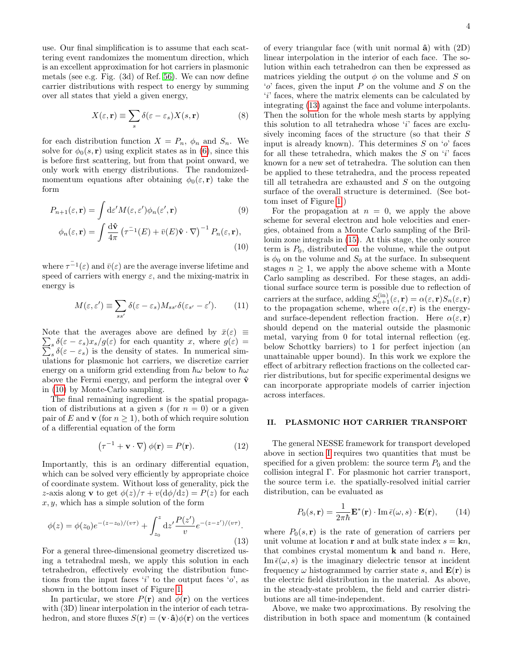use. Our final simplification is to assume that each scattering event randomizes the momentum direction, which is an excellent approximation for hot carriers in plasmonic metals (see e.g. Fig. (3d) of Ref. [56\)](#page-9-34). We can now define carrier distributions with respect to energy by summing over all states that yield a given energy,

$$
X(\varepsilon, \mathbf{r}) \equiv \sum_{s} \delta(\varepsilon - \varepsilon_{s}) X(s, \mathbf{r})
$$
 (8)

for each distribution function  $X = P_n$ ,  $\phi_n$  and  $S_n$ . We solve for  $\phi_0(s, \mathbf{r})$  using explicit states as in [\(6\)](#page-2-3), since this is before first scattering, but from that point onward, we only work with energy distributions. The randomizedmomentum equations after obtaining  $\phi_0(\varepsilon, \mathbf{r})$  take the form

$$
P_{n+1}(\varepsilon, \mathbf{r}) = \int \mathrm{d}\varepsilon' M(\varepsilon, \varepsilon') \phi_n(\varepsilon', \mathbf{r}) \qquad (9)
$$

$$
\phi_n(\varepsilon, \mathbf{r}) = \int \frac{\mathrm{d}\hat{\mathbf{v}}}{4\pi} \left( \tau^{-1}(E) + \bar{v}(E)\hat{\mathbf{v}} \cdot \nabla \right)^{-1} P_n(\varepsilon, \mathbf{r}), \qquad (10)
$$

where  $\tau^{-1}(\varepsilon)$  and  $\bar{v}(\varepsilon)$  are the average inverse lifetime and speed of carriers with energy  $\varepsilon$ , and the mixing-matrix in energy is

<span id="page-3-4"></span>
$$
M(\varepsilon, \varepsilon') \equiv \sum_{ss'} \delta(\varepsilon - \varepsilon_s) M_{ss'} \delta(\varepsilon_{s'} - \varepsilon'). \tag{11}
$$

Note that the averages above are defined by  $\bar{x}(\varepsilon) \equiv$  $\sum_{s} \delta(\varepsilon - \varepsilon_{s})x_{s}/g(\varepsilon)$  for each quantity x, where  $g(\varepsilon) = \sum_{s} \delta(\varepsilon - \varepsilon_{s})$  is the density of states. In numerical sim $s \delta(\varepsilon - \varepsilon_s)$  is the density of states. In numerical simulations for plasmonic hot carriers, we discretize carrier energy on a uniform grid extending from  $\hbar\omega$  below to  $\hbar\omega$ above the Fermi energy, and perform the integral over  $\hat{\mathbf{v}}$ in [\(10\)](#page-3-2) by Monte-Carlo sampling.

The final remaining ingredient is the spatial propagation of distributions at a given s (for  $n = 0$ ) or a given pair of E and **v** (for  $n \geq 1$ ), both of which require solution of a differential equation of the form

$$
(\tau^{-1} + \mathbf{v} \cdot \nabla) \phi(\mathbf{r}) = P(\mathbf{r}). \tag{12}
$$

Importantly, this is an ordinary differential equation, which can be solved very efficiently by appropriate choice of coordinate system. Without loss of generality, pick the z-axis along **v** to get  $\phi(z)/\tau + v(\mathrm{d}\phi/\mathrm{d}z) = P(z)$  for each  $x, y$ , which has a simple solution of the form

<span id="page-3-3"></span>
$$
\phi(z) = \phi(z_0)e^{-(z-z_0)/(v\tau)} + \int_{z_0}^{z} dz' \frac{P(z')}{v} e^{-(z-z')/(v\tau)}.
$$
\n(13)

For a general three-dimensional geometry discretized using a tetrahedral mesh, we apply this solution in each tetrahedron, effectively evolving the distribution functions from the input faces 'i' to the output faces 'o', as shown in the bottom inset of Figure [1.](#page-1-1)

In particular, we store  $P(\mathbf{r})$  and  $\phi(\mathbf{r})$  on the vertices with  $(3D)$  linear interpolation in the interior of each tetrahedron, and store fluxes  $S(\mathbf{r}) = (\mathbf{v} \cdot \hat{\mathbf{a}}) \phi(\mathbf{r})$  on the vertices of every triangular face (with unit normal  $\hat{a}$ ) with  $(2D)$ linear interpolation in the interior of each face. The solution within each tetrahedron can then be expressed as matrices yielding the output  $\phi$  on the volume and S on  $'o'$  faces, given the input P on the volume and S on the 'i' faces, where the matrix elements can be calculated by integrating [\(13\)](#page-3-3) against the face and volume interpolants. Then the solution for the whole mesh starts by applying this solution to all tetrahedra whose 'i' faces are exclusively incoming faces of the structure (so that their S input is already known). This determines  $S$  on  $'o'$  faces for all these tetrahedra, which makes the  $S$  on  $'i'$  faces known for a new set of tetrahedra. The solution can then be applied to these tetrahedra, and the process repeated till all tetrahedra are exhausted and S on the outgoing surface of the overall structure is determined. (See bottom inset of Figure [1.](#page-1-1))

<span id="page-3-2"></span>For the propagation at  $n = 0$ , we apply the above scheme for several electron and hole velocities and energies, obtained from a Monte Carlo sampling of the Brillouin zone integrals in [\(15\)](#page-4-0). At this stage, the only source term is  $P_0$ , distributed on the volume, while the output is  $\phi_0$  on the volume and  $S_0$  at the surface. In subsequent stages  $n \geq 1$ , we apply the above scheme with a Monte Carlo sampling as described. For these stages, an additional surface source term is possible due to reflection of carriers at the surface, adding  $S_{n+1}^{(in)}(\varepsilon, \mathbf{r}) = \alpha(\varepsilon, \mathbf{r})S_n(\varepsilon, \mathbf{r})$ to the propagation scheme, where  $\alpha(\varepsilon, \mathbf{r})$  is the energyand surface-dependent reflection fraction. Here  $\alpha(\varepsilon, \mathbf{r})$ should depend on the material outside the plasmonic metal, varying from 0 for total internal reflection (eg. below Schottky barriers) to 1 for perfect injection (an unattainable upper bound). In this work we explore the effect of arbitrary reflection fractions on the collected carrier distributions, but for specific experimental designs we can incorporate appropriate models of carrier injection across interfaces.

### <span id="page-3-0"></span>II. PLASMONIC HOT CARRIER TRANSPORT

The general NESSE framework for transport developed above in section [I](#page-1-0) requires two quantities that must be specified for a given problem: the source term  $P_0$  and the collision integral Γ. For plasmonic hot carrier transport, the source term i.e. the spatially-resolved initial carrier distribution, can be evaluated as

<span id="page-3-1"></span>
$$
P_0(s, \mathbf{r}) = \frac{1}{2\pi\hbar} \mathbf{E}^*(\mathbf{r}) \cdot \operatorname{Im} \bar{\epsilon}(\omega, s) \cdot \mathbf{E}(\mathbf{r}), \qquad (14)
$$

where  $P_0(s, r)$  is the rate of generation of carriers per unit volume at location **r** and at bulk state index  $s = \mathbf{k}n$ , that combines crystal momentum  $k$  and band  $n$ . Here,  $\text{Im } \bar{\epsilon}(\omega, s)$  is the imaginary dielectric tensor at incident frequency  $\omega$  histogrammed by carrier state s, and  $\mathbf{E}(\mathbf{r})$  is the electric field distribution in the material. As above, in the steady-state problem, the field and carrier distributions are all time-independent.

Above, we make two approximations. By resolving the distribution in both space and momentum (k contained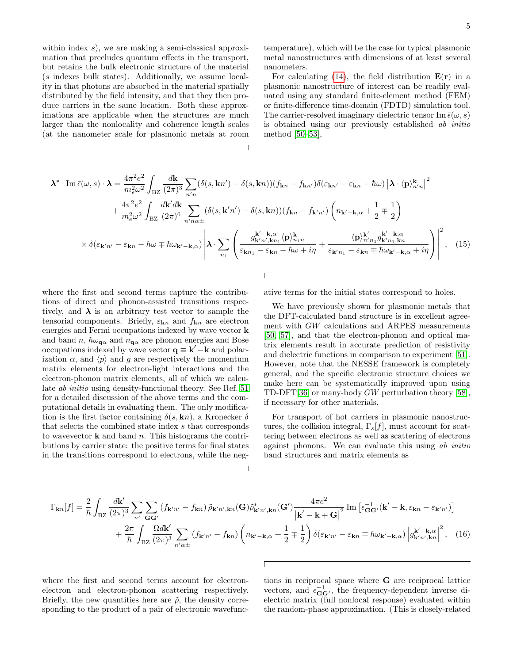within index  $s$ ), we are making a semi-classical approximation that precludes quantum effects in the transport, but retains the bulk electronic structure of the material (s indexes bulk states). Additionally, we assume locality in that photons are absorbed in the material spatially distributed by the field intensity, and that they then produce carriers in the same location. Both these approximations are applicable when the structures are much larger than the nonlocality and coherence length scales (at the nanometer scale for plasmonic metals at room temperature), which will be the case for typical plasmonic metal nanostructures with dimensions of at least several nanometers.

For calculating [\(14\)](#page-3-1), the field distribution  $E(r)$  in a plasmonic nanostructure of interest can be readily evaluated using any standard finite-element method (FEM) or finite-difference time-domain (FDTD) simulation tool. The carrier-resolved imaginary dielectric tensor Im  $\bar{\epsilon}(\omega, s)$ is obtained using our previously established ab initio method [\[50–](#page-9-28)[53\]](#page-9-31),

$$
\lambda^* \cdot \text{Im}\,\bar{\epsilon}(\omega,s) \cdot \lambda = \frac{4\pi^2 e^2}{m_e^2 \omega^2} \int_{\text{BZ}} \frac{d\mathbf{k}}{(2\pi)^3} \sum_{n'n} (\delta(s,\mathbf{k}n') - \delta(s,\mathbf{k}n)) (f_{\mathbf{k}n} - f_{\mathbf{k}n'}) \delta(\varepsilon_{\mathbf{k}n'} - \varepsilon_{\mathbf{k}n} - \hbar\omega) \left| \lambda \cdot \langle \mathbf{p} \rangle_{n'n}^{\mathbf{k}} \right|^2 + \frac{4\pi^2 e^2}{m_e^2 \omega^2} \int_{\text{BZ}} \frac{d\mathbf{k}' d\mathbf{k}}{(2\pi)^6} \sum_{n'n,\alpha \pm} (\delta(s,\mathbf{k}'n') - \delta(s,\mathbf{k}n)) (f_{\mathbf{k}n} - f_{\mathbf{k}'n'}) \left( n_{\mathbf{k}'-\mathbf{k},\alpha} + \frac{1}{2} \mp \frac{1}{2} \right) \times \delta(\varepsilon_{\mathbf{k}'n'} - \varepsilon_{\mathbf{k}n} - \hbar\omega \mp \hbar\omega_{\mathbf{k}'-\mathbf{k},\alpha}) \left| \lambda \cdot \sum_{n_1} \left( \frac{g_{\mathbf{k}'n',\mathbf{k}n_1}^{\mathbf{k}'-\mathbf{k},\alpha} \langle \mathbf{p} \rangle_{n_1n}^{\mathbf{k}}}{\varepsilon_{\mathbf{k}n_1} - \varepsilon_{\mathbf{k}n} - \hbar\omega + i\eta} + \frac{\langle \mathbf{p} \rangle_{n'n_1}^{\mathbf{k}'\alpha} g_{\mathbf{k}'n_1,\mathbf{k}n}^{\mathbf{k}'-\mathbf{k},\alpha}}{\varepsilon_{\mathbf{k}'n_1} - \varepsilon_{\mathbf{k}n} + \hbar\omega_{\mathbf{k}'-\mathbf{k},\alpha} + i\eta} \right) \right|^2, \quad (15)
$$

where the first and second terms capture the contributions of direct and phonon-assisted transitions respectively, and  $\lambda$  is an arbitrary test vector to sample the tensorial components. Briefly,  $\varepsilon_{\mathbf{k}n}$  and  $f_{\mathbf{k}n}$  are electron energies and Fermi occupations indexed by wave vector k and band n,  $\hbar \omega_{\mathbf{q}\alpha}$  and  $n_{\mathbf{q}\alpha}$  are phonon energies and Bose occupations indexed by wave vector  $\mathbf{q} \equiv \mathbf{k}' - \mathbf{k}$  and polarization  $\alpha$ , and  $\langle p \rangle$  and g are respectively the momentum matrix elements for electron-light interactions and the electron-phonon matrix elements, all of which we calculate ab initio using density-functional theory. See Ref. [51](#page-9-29) for a detailed discussion of the above terms and the computational details in evaluating them. The only modification is the first factor containing  $\delta(s, \mathbf{k}n)$ , a Kronecker  $\delta$ that selects the combined state index s that corresponds to wavevector  $k$  and band n. This histograms the contributions by carrier state: the positive terms for final states in the transitions correspond to electrons, while the neg<span id="page-4-0"></span>ative terms for the initial states correspond to holes.

We have previously shown for plasmonic metals that the DFT-calculated band structure is in excellent agreement with GW calculations and ARPES measurements [\[50,](#page-9-28) [57\]](#page-9-35), and that the electron-phonon and optical matrix elements result in accurate prediction of resistivity and dielectric functions in comparison to experiment [\[51\]](#page-9-29). However, note that the NESSE framework is completely general, and the specific electronic structure choices we make here can be systematically improved upon using TD-DFT[\[36\]](#page-9-15) or many-body GW perturbation theory [\[58\]](#page-9-36), if necessary for other materials.

For transport of hot carriers in plasmonic nanostructures, the collision integral,  $\Gamma_s[f]$ , must account for scattering between electrons as well as scattering of electrons against phonons. We can evaluate this using ab initio band structures and matrix elements as

$$
\Gamma_{\mathbf{k}n}[f] = \frac{2}{\hbar} \int_{\text{BZ}} \frac{d\mathbf{k}'}{(2\pi)^3} \sum_{n'} \sum_{\mathbf{G}\mathbf{G}'} (f_{\mathbf{k}'n'} - f_{\mathbf{k}n}) \tilde{\rho}_{\mathbf{k}'n',\mathbf{k}n}(\mathbf{G}) \tilde{\rho}_{\mathbf{k}'n',\mathbf{k}n}^*(\mathbf{G}') \frac{4\pi e^2}{|\mathbf{k}' - \mathbf{k} + \mathbf{G}|^2} \operatorname{Im} \left[ \epsilon_{\mathbf{G}\mathbf{G}'}^{-1} (\mathbf{k}' - \mathbf{k}, \varepsilon_{\mathbf{k}n} - \varepsilon_{\mathbf{k}'n'}) \right] + \frac{2\pi}{\hbar} \int_{\text{BZ}} \frac{\Omega d\mathbf{k}'}{(2\pi)^3} \sum_{n'\alpha \pm} (f_{\mathbf{k}'n'} - f_{\mathbf{k}n}) \left( n_{\mathbf{k}'-\mathbf{k},\alpha} + \frac{1}{2} \mp \frac{1}{2} \right) \delta(\varepsilon_{\mathbf{k}'n'} - \varepsilon_{\mathbf{k}n} \mp \hbar \omega_{\mathbf{k}'-\mathbf{k},\alpha}) \left| g_{\mathbf{k}'n',\mathbf{k}n}^{(\mathbf{k}'-\mathbf{k},\alpha)} \right|^2, \quad (16)
$$

where the first and second terms account for electronelectron and electron-phonon scattering respectively. Briefly, the new quantities here are  $\tilde{\rho}$ , the density corresponding to the product of a pair of electronic wavefunc<span id="page-4-1"></span>tions in reciprocal space where G are reciprocal lattice vectors, and  $\epsilon_{\mathbf{G}\mathbf{G}'}^{-1}$ , the frequency-dependent inverse dielectric matrix (full nonlocal response) evaluated within the random-phase approximation. (This is closely-related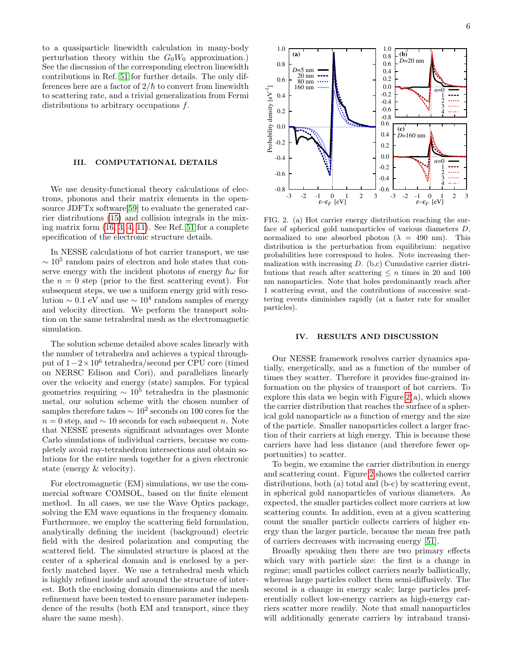to a quasiparticle linewidth calculation in many-body perturbation theory within the  $G_0W_0$  approximation.) See the discussion of the corresponding electron linewidth contributions in Ref. [51](#page-9-29) for further details. The only differences here are a factor of  $2/\hbar$  to convert from linewidth to scattering rate, and a trivial generalization from Fermi distributions to arbitrary occupations f.

### III. COMPUTATIONAL DETAILS

We use density-functional theory calculations of electrons, phonons and their matrix elements in the opensource JDFTx software[\[59\]](#page-9-37) to evaluate the generated carrier distributions [\(15\)](#page-4-0) and collision integrals in the mixing matrix form [\(16,](#page-4-1) [3,](#page-2-5) [4,](#page-2-2) [11\)](#page-3-4). See Ref. [51](#page-9-29) for a complete specification of the electronic structure details.

In NESSE calculations of hot carrier transport, we use  $\sim 10^5$  random pairs of electron and hole states that conserve energy with the incident photons of energy  $\hbar\omega$  for the  $n = 0$  step (prior to the first scattering event). For subsequent steps, we use a uniform energy grid with resolution  $\sim 0.1$  eV and use  $\sim 10^4$  random samples of energy and velocity direction. We perform the transport solution on the same tetrahedral mesh as the electromagnetic simulation.

The solution scheme detailed above scales linearly with the number of tetrahedra and achieves a typical throughput of 1−2×10<sup>6</sup> tetrahedra/second per CPU core (timed on NERSC Edison and Cori), and parallelizes linearly over the velocity and energy (state) samples. For typical geometries requiring  $\sim 10^5$  tetrahedra in the plasmonic metal, our solution scheme with the chosen number of samples therefore takes  $\sim 10^2$  seconds on 100 cores for the  $n = 0$  step, and  $\sim 10$  seconds for each subsequent n. Note that NESSE presents significant advantages over Monte Carlo simulations of individual carriers, because we completely avoid ray-tetrahedron intersections and obtain solutions for the entire mesh together for a given electronic state (energy & velocity).

For electromagnetic (EM) simulations, we use the commercial software COMSOL, based on the finite element method. In all cases, we use the Wave Optics package, solving the EM wave equations in the frequency domain. Furthermore, we employ the scattering field formulation, analytically defining the incident (background) electric field with the desired polarization and computing the scattered field. The simulated structure is placed at the center of a spherical domain and is enclosed by a perfectly matched layer. We use a tetrahedral mesh which is highly refined inside and around the structure of interest. Both the enclosing domain dimensions and the mesh refinement have been tested to ensure parameter independence of the results (both EM and transport, since they share the same mesh).



<span id="page-5-1"></span>FIG. 2. (a) Hot carrier energy distribution reaching the surface of spherical gold nanoparticles of various diameters D, normalized to one absorbed photon ( $\lambda = 490$  nm). This distribution is the perturbation from equilibrium: negative probabilities here correspond to holes. Note increasing thermalization with increasing  $D$ . (b,c) Cumulative carrier distributions that reach after scattering  $\leq n$  times in 20 and 160 nm nanoparticles. Note that holes predominantly reach after 1 scattering event, and the contributions of successive scattering events diminishes rapidly (at a faster rate for smaller particles).

### <span id="page-5-0"></span>IV. RESULTS AND DISCUSSION

Our NESSE framework resolves carrier dynamics spatially, energetically, and as a function of the number of times they scatter. Therefore it provides fine-grained information on the physics of transport of hot carriers. To explore this data we begin with Figure  $2(a)$ , which shows the carrier distribution that reaches the surface of a spherical gold nanoparticle as a function of energy and the size of the particle. Smaller nanoparticles collect a larger fraction of their carriers at high energy. This is because these carriers have had less distance (and therefore fewer opportunities) to scatter.

To begin, we examine the carrier distribution in energy and scattering count. Figure [2](#page-5-1) shows the collected carrier distributions, both (a) total and (b-c) by scattering event, in spherical gold nanoparticles of various diameters. As expected, the smaller particles collect more carriers at low scattering counts. In addition, even at a given scattering count the smaller particle collects carriers of higher energy than the larger particle, because the mean free path of carriers decreases with increasing energy [\[51\]](#page-9-29).

Broadly speaking then there are two primary effects which vary with particle size: the first is a change in regime; small particles collect carriers nearly ballistically, whereas large particles collect them semi-diffusively. The second is a change in energy scale; large particles preferentially collect low-energy carriers as high-energy carriers scatter more readily. Note that small nanoparticles will additionally generate carriers by intraband transi-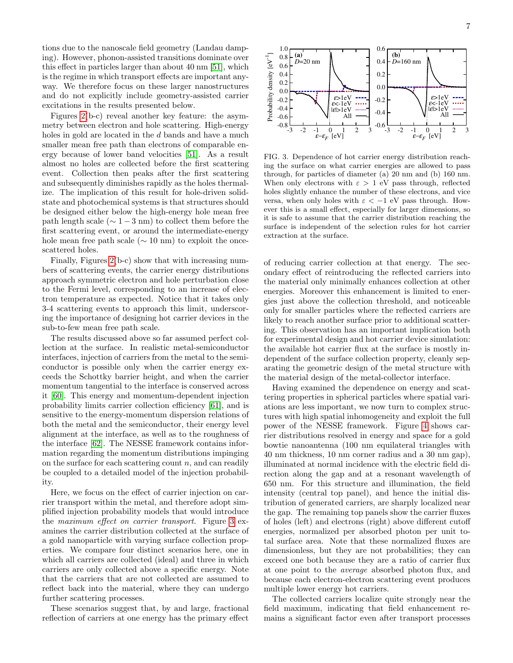tions due to the nanoscale field geometry (Landau damping). However, phonon-assisted transitions dominate over this effect in particles larger than about 40 nm [\[51\]](#page-9-29), which is the regime in which transport effects are important anyway. We therefore focus on these larger nanostructures and do not explicitly include geometry-assisted carrier excitations in the results presented below.

Figures [2\(](#page-5-1)b-c) reveal another key feature: the asymmetry between electron and hole scattering. High-energy holes in gold are located in the d bands and have a much smaller mean free path than electrons of comparable energy because of lower band velocities [\[51\]](#page-9-29). As a result almost no holes are collected before the first scattering event. Collection then peaks after the first scattering and subsequently diminishes rapidly as the holes thermalize. The implication of this result for hole-driven solidstate and photochemical systems is that structures should be designed either below the high-energy hole mean free path length scale ( $\sim 1-3$  nm) to collect them before the first scattering event, or around the intermediate-energy hole mean free path scale ( $\sim 10$  nm) to exploit the oncescattered holes.

Finally, Figures [2\(](#page-5-1)b-c) show that with increasing numbers of scattering events, the carrier energy distributions approach symmetric electron and hole perturbation close to the Fermi level, corresponding to an increase of electron temperature as expected. Notice that it takes only 3-4 scattering events to approach this limit, underscoring the importance of designing hot carrier devices in the sub-to-few mean free path scale.

The results discussed above so far assumed perfect collection at the surface. In realistic metal-semiconductor interfaces, injection of carriers from the metal to the semiconductor is possible only when the carrier energy exceeds the Schottky barrier height, and when the carrier momentum tangential to the interface is conserved across it [\[60\]](#page-9-38). This energy and momentum-dependent injection probability limits carrier collection efficiency [\[61\]](#page-9-39), and is sensitive to the energy-momentum dispersion relations of both the metal and the semiconductor, their energy level alignment at the interface, as well as to the roughness of the interface [\[62\]](#page-9-40). The NESSE framework contains information regarding the momentum distributions impinging on the surface for each scattering count  $n$ , and can readily be coupled to a detailed model of the injection probability.

Here, we focus on the effect of carrier injection on carrier transport within the metal, and therefore adopt simplified injection probability models that would introduce the maximum effect on carrier transport. Figure [3](#page-6-0) examines the carrier distribution collected at the surface of a gold nanoparticle with varying surface collection properties. We compare four distinct scenarios here, one in which all carriers are collected (ideal) and three in which carriers are only collected above a specific energy. Note that the carriers that are not collected are assumed to reflect back into the material, where they can undergo further scattering processes.

These scenarios suggest that, by and large, fractional reflection of carriers at one energy has the primary effect



<span id="page-6-0"></span>FIG. 3. Dependence of hot carrier energy distribution reaching the surface on what carrier energies are allowed to pass through, for particles of diameter (a) 20 nm and (b) 160 nm. When only electrons with  $\varepsilon > 1$  eV pass through, reflected holes slightly enhance the number of these electrons, and vice versa, when only holes with  $\varepsilon < -1$  eV pass through. However this is a small effect, especially for larger dimensions, so it is safe to assume that the carrier distribution reaching the surface is independent of the selection rules for hot carrier extraction at the surface.

of reducing carrier collection at that energy. The secondary effect of reintroducing the reflected carriers into the material only minimally enhances collection at other energies. Moreover this enhancement is limited to energies just above the collection threshold, and noticeable only for smaller particles where the reflected carriers are likely to reach another surface prior to additional scattering. This observation has an important implication both for experimental design and hot carrier device simulation: the available hot carrier flux at the surface is mostly independent of the surface collection property, cleanly separating the geometric design of the metal structure with the material design of the metal-collector interface.

Having examined the dependence on energy and scattering properties in spherical particles where spatial variations are less important, we now turn to complex structures with high spatial inhomogeneity and exploit the full power of the NESSE framework. Figure [4](#page-7-0) shows carrier distributions resolved in energy and space for a gold bowtie nanoantenna (100 nm equilateral triangles with 40 nm thickness, 10 nm corner radius and a 30 nm gap), illuminated at normal incidence with the electric field direction along the gap and at a resonant wavelength of 650 nm. For this structure and illumination, the field intensity (central top panel), and hence the initial distribution of generated carriers, are sharply localized near the gap. The remaining top panels show the carrier fluxes of holes (left) and electrons (right) above different cutoff energies, normalized per absorbed photon per unit total surface area. Note that these normalized fluxes are dimensionless, but they are not probabilities; they can exceed one both because they are a ratio of carrier flux at one point to the average absorbed photon flux, and because each electron-electron scattering event produces multiple lower energy hot carriers.

The collected carriers localize quite strongly near the field maximum, indicating that field enhancement remains a significant factor even after transport processes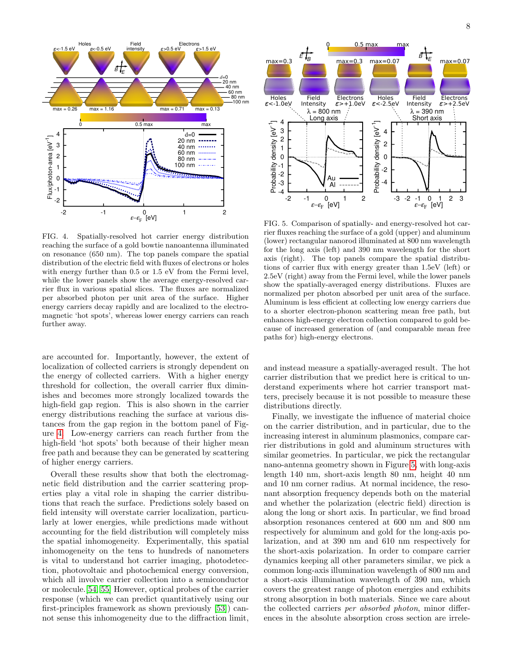

<span id="page-7-0"></span>FIG. 4. Spatially-resolved hot carrier energy distribution reaching the surface of a gold bowtie nanoantenna illuminated on resonance (650 nm). The top panels compare the spatial distribution of the electric field with fluxes of electrons or holes with energy further than 0.5 or 1.5 eV from the Fermi level, while the lower panels show the average energy-resolved carrier flux in various spatial slices. The fluxes are normalized per absorbed photon per unit area of the surface. Higher energy carriers decay rapidly and are localized to the electromagnetic 'hot spots', whereas lower energy carriers can reach further away.

are accounted for. Importantly, however, the extent of localization of collected carriers is strongly dependent on the energy of collected carriers. With a higher energy threshold for collection, the overall carrier flux diminishes and becomes more strongly localized towards the high-field gap region. This is also shown in the carrier energy distributions reaching the surface at various distances from the gap region in the bottom panel of Figure [4.](#page-7-0) Low-energy carriers can reach further from the high-field 'hot spots' both because of their higher mean free path and because they can be generated by scattering of higher energy carriers.

Overall these results show that both the electromagnetic field distribution and the carrier scattering properties play a vital role in shaping the carrier distributions that reach the surface. Predictions solely based on field intensity will overstate carrier localization, particularly at lower energies, while predictions made without accounting for the field distribution will completely miss the spatial inhomogeneity. Experimentally, this spatial inhomogeneity on the tens to hundreds of nanometers is vital to understand hot carrier imaging, photodetection, photovoltaic and photochemical energy conversion, which all involve carrier collection into a semiconductor or molecule.[\[54,](#page-9-32) [55\]](#page-9-33) However, optical probes of the carrier response (which we can predict quantitatively using our first-principles framework as shown previously [\[53\]](#page-9-31)) cannot sense this inhomogeneity due to the diffraction limit,



<span id="page-7-1"></span>FIG. 5. Comparison of spatially- and energy-resolved hot carrier fluxes reaching the surface of a gold (upper) and aluminum (lower) rectangular nanorod illuminated at 800 nm wavelength for the long axis (left) and 390 nm wavelength for the short axis (right). The top panels compare the spatial distributions of carrier flux with energy greater than 1.5eV (left) or 2.5eV (right) away from the Fermi level, while the lower panels show the spatially-averaged energy distributions. Fluxes are normalized per photon absorbed per unit area of the surface. Aluminum is less efficient at collecting low energy carriers due to a shorter electron-phonon scattering mean free path, but enhances high-energy electron collection compared to gold because of increased generation of (and comparable mean free paths for) high-energy electrons.

and instead measure a spatially-averaged result. The hot carrier distribution that we predict here is critical to understand experiments where hot carrier transport matters, precisely because it is not possible to measure these distributions directly.

Finally, we investigate the influence of material choice on the carrier distribution, and in particular, due to the increasing interest in aluminum plasmonics, compare carrier distributions in gold and aluminum structures with similar geometries. In particular, we pick the rectangular nano-antenna geometry shown in Figure [5,](#page-7-1) with long-axis length 140 nm, short-axis length 80 nm, height 40 nm and 10 nm corner radius. At normal incidence, the resonant absorption frequency depends both on the material and whether the polarization (electric field) direction is along the long or short axis. In particular, we find broad absorption resonances centered at 600 nm and 800 nm respectively for aluminum and gold for the long-axis polarization, and at 390 nm and 610 nm respectively for the short-axis polarization. In order to compare carrier dynamics keeping all other parameters similar, we pick a common long-axis illumination wavelength of 800 nm and a short-axis illumination wavelength of 390 nm, which covers the greatest range of photon energies and exhibits strong absorption in both materials. Since we care about the collected carriers per absorbed photon, minor differences in the absolute absorption cross section are irrele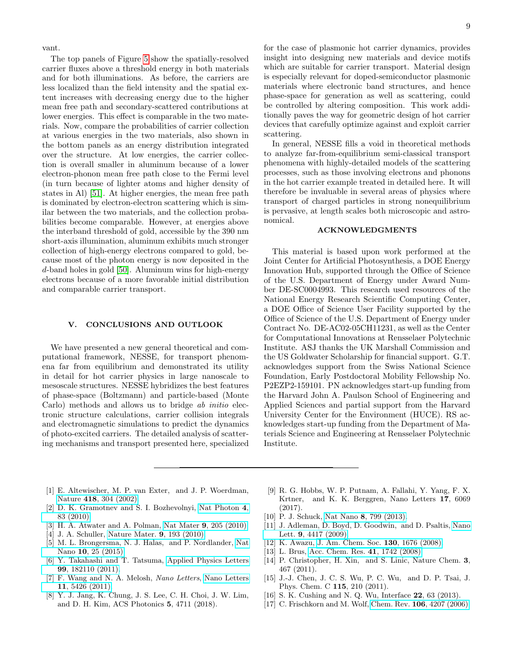vant.

The top panels of Figure [5](#page-7-1) show the spatially-resolved carrier fluxes above a threshold energy in both materials and for both illuminations. As before, the carriers are less localized than the field intensity and the spatial extent increases with decreasing energy due to the higher mean free path and secondary-scattered contributions at lower energies. This effect is comparable in the two materials. Now, compare the probabilities of carrier collection at various energies in the two materials, also shown in the bottom panels as an energy distribution integrated over the structure. At low energies, the carrier collection is overall smaller in aluminum because of a lower electron-phonon mean free path close to the Fermi level (in turn because of lighter atoms and higher density of states in Al) [\[51\]](#page-9-29). At higher energies, the mean free path is dominated by electron-electron scattering which is similar between the two materials, and the collection probabilities become comparable. However, at energies above the interband threshold of gold, accessible by the 390 nm short-axis illumination, aluminum exhibits much stronger collection of high-energy electrons compared to gold, because most of the photon energy is now deposited in the d-band holes in gold [\[50\]](#page-9-28). Aluminum wins for high-energy electrons because of a more favorable initial distribution and comparable carrier transport.

#### V. CONCLUSIONS AND OUTLOOK

We have presented a new general theoretical and computational framework, NESSE, for transport phenomena far from equilibrium and demonstrated its utility in detail for hot carrier physics in large nanoscale to mesoscale structures. NESSE hybridizes the best features of phase-space (Boltzmann) and particle-based (Monte Carlo) methods and allows us to bridge *ab initio* electronic structure calculations, carrier collision integrals and electromagnetic simulations to predict the dynamics of photo-excited carriers. The detailed analysis of scattering mechanisms and transport presented here, specialized for the case of plasmonic hot carrier dynamics, provides insight into designing new materials and device motifs

which are suitable for carrier transport. Material design is especially relevant for doped-semiconductor plasmonic materials where electronic band structures, and hence phase-space for generation as well as scattering, could be controlled by altering composition. This work additionally paves the way for geometric design of hot carrier devices that carefully optimize against and exploit carrier scattering.

In general, NESSE fills a void in theoretical methods to analyze far-from-equilibrium semi-classical transport phenomena with highly-detailed models of the scattering processes, such as those involving electrons and phonons in the hot carrier example treated in detailed here. It will therefore be invaluable in several areas of physics where transport of charged particles in strong nonequilibrium is pervasive, at length scales both microscopic and astronomical.

# ACKNOWLEDGMENTS

This material is based upon work performed at the Joint Center for Artificial Photosynthesis, a DOE Energy Innovation Hub, supported through the Office of Science of the U.S. Department of Energy under Award Number DE-SC0004993. This research used resources of the National Energy Research Scientific Computing Center, a DOE Office of Science User Facility supported by the Office of Science of the U.S. Department of Energy under Contract No. DE-AC02-05CH11231, as well as the Center for Computational Innovations at Rensselaer Polytechnic Institute. ASJ thanks the UK Marshall Commission and the US Goldwater Scholarship for financial support. G.T. acknowledges support from the Swiss National Science Foundation, Early Postdoctoral Mobility Fellowship No. P2EZP2-159101. PN acknowledges start-up funding from the Harvard John A. Paulson School of Engineering and Applied Sciences and partial support from the Harvard University Center for the Environment (HUCE). RS acknowledges start-up funding from the Department of Materials Science and Engineering at Rensselaer Polytechnic Institute.

- <span id="page-8-0"></span>[1] E. Altewischer, M. P. van Exter, and J. P. Woerdman, Nature 418[, 304 \(2002\).](http://dx.doi.org/10.1038/nature00869)
- [2] D. K. Gramotnev and S. I. Bozhevolnyi, [Nat Photon](http://dx.doi.org/10.1038/nphoton.2009.282) 4, [83 \(2010\).](http://dx.doi.org/10.1038/nphoton.2009.282)
- [3] H. A. Atwater and A. Polman, Nat Mater 9[, 205 \(2010\).](http://dx.doi.org/10.1038/nmat2629)
- [4] J. A. Schuller, [Nature Mater.](http://dx.doi.org/10.1038/nmat2630) 9, 193 (2010).
- <span id="page-8-1"></span>[5] M. L. Brongersma, N. J. Halas, and P. Nordlander, [Nat](http://dx.doi.org/10.1038/nnano.2014.311) Nano 10[, 25 \(2015\).](http://dx.doi.org/10.1038/nnano.2014.311)
- <span id="page-8-2"></span>[6] Y. Takahashi and T. Tatsuma, [Applied Physics Letters](http://dx.doi.org/10.1063/1.3659476) 99[, 182110 \(2011\).](http://dx.doi.org/10.1063/1.3659476)
- [7] F. Wang and N. A. Melosh, Nano Letters, [Nano Letters](http://dx.doi.org/10.1021/nl203196z) 11[, 5426 \(2011\).](http://dx.doi.org/10.1021/nl203196z)
- [8] Y. J. Jang, K. Chung, J. S. Lee, C. H. Choi, J. W. Lim, and D. H. Kim, ACS Photonics 5, 4711 (2018).
- [9] R. G. Hobbs, W. P. Putnam, A. Fallahi, Y. Yang, F. X. Krtner, and K. K. Berggren, Nano Letters 17, 6069 (2017).
- [10] P. J. Schuck, Nat Nano 8[, 799 \(2013\).](http://dx.doi.org/10.1038/nnano.2013.228)
- [11] J. Adleman, D. Boyd, D. Goodwin, and D. Psaltis, [Nano](http://dx.doi.org/10.1021/nl902711n) Lett. 9[, 4417 \(2009\).](http://dx.doi.org/10.1021/nl902711n)
- <span id="page-8-3"></span>[12] K. Awazu, [J. Am. Chem. Soc.](http://dx.doi.org/10.1021/ja076503n) 130, 1676 (2008).
- <span id="page-8-4"></span>[13] L. Brus, [Acc. Chem. Res.](http://dx.doi.org/10.1021/ar800121r) 41, 1742 (2008).
- [14] P. Christopher, H. Xin, and S. Linic, Nature Chem. 3, 467 (2011).
- [15] J.-J. Chen, J. C. S. Wu, P. C. Wu, and D. P. Tsai, J. Phys. Chem. C 115, 210 (2011).
- [16] S. K. Cushing and N. Q. Wu, Interface **22**, 63 (2013).
- [17] C. Frischkorn and M. Wolf, Chem. Rev. **106**[, 4207 \(2006\).](http://dx.doi.org/10.1021/cr050161r)